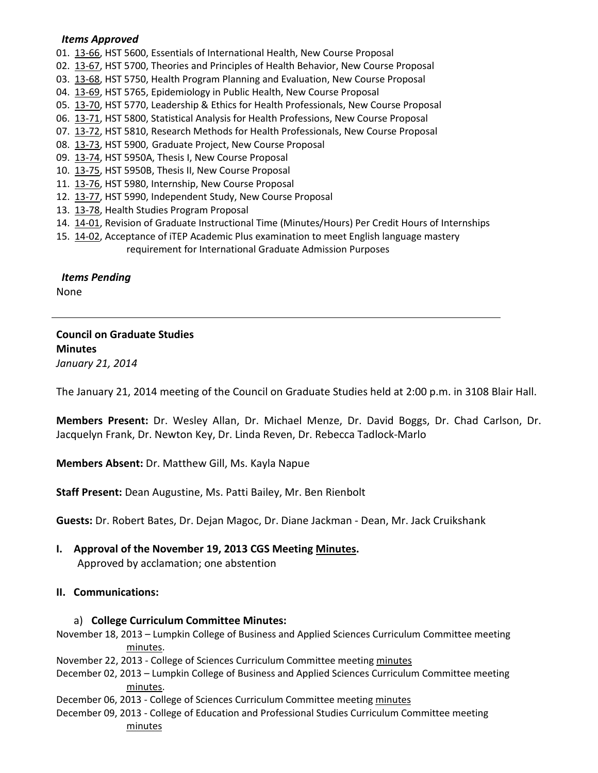#### *Items Approved*

- 01. [13-66,](http://castle.eiu.edu/~eiucgs/currentagendaitems/agenda13-66.pdf) HST 5600, Essentials of International Health, New Course Proposal
- 02. [13-67,](http://castle.eiu.edu/~eiucgs/currentagendaitems/agenda13-67.pdf) HST 5700, Theories and Principles of Health Behavior, New Course Proposal
- 03. [13-68,](http://castle.eiu.edu/~eiucgs/currentagendaitems/agenda13-68.pdf) HST 5750, Health Program Planning and Evaluation, New Course Proposal
- 04. [13-69,](http://castle.eiu.edu/~eiucgs/currentagendaitems/agenda13-69.pdf) HST 5765, Epidemiology in Public Health, New Course Proposal
- 05. [13-70,](http://castle.eiu.edu/~eiucgs/currentagendaitems/agenda13-70.pdf) HST 5770, Leadership & Ethics for Health Professionals, New Course Proposal
- 06. [13-71,](http://castle.eiu.edu/~eiucgs/currentagendaitems/agenda13-71.pdf) HST 5800, Statistical Analysis for Health Professions, New Course Proposal
- 07. [13-72,](http://castle.eiu.edu/~eiucgs/currentagendaitems/agenda13-72.pdf) HST 5810, Research Methods for Health Professionals, New Course Proposal
- 08. [13-73,](http://castle.eiu.edu/~eiucgs/currentagendaitems/agenda13-73.pdf) HST 5900, Graduate Project, New Course Proposal
- 09. [13-74,](http://castle.eiu.edu/~eiucgs/currentagendaitems/agenda13-74.pdf) HST 5950A, Thesis I, New Course Proposal
- 10. [13-75,](http://castle.eiu.edu/~eiucgs/currentagendaitems/agenda13-75.pdf) HST 5950B, Thesis II, New Course Proposal
- 11. [13-76,](http://castle.eiu.edu/~eiucgs/currentagendaitems/agenda13-76.pdf) HST 5980, Internship, New Course Proposal
- 12. [13-77,](http://castle.eiu.edu/~eiucgs/currentagendaitems/agenda13-77.pdf) HST 5990, Independent Study, New Course Proposal
- 13. [13-78,](http://castle.eiu.edu/~eiucgs/currentagendaitems/agenda13-78.pdf) Health Studies Program Proposal
- 14. [14-01,](http://castle.eiu.edu/~eiucgs/currentagendaitems/agenda14-01.pdf) Revision of Graduate Instructional Time (Minutes/Hours) Per Credit Hours of Internships
- 15. [14-02,](http://castle.eiu.edu/~eiucgs/currentagendaitems/agenda14-02.pdf) Acceptance of iTEP Academic Plus examination to meet English language mastery requirement for International Graduate Admission Purposes

 *Items Pending* None

# **Council on Graduate Studies Minutes** *January 21, 2014*

The January 21, 2014 meeting of the Council on Graduate Studies held at 2:00 p.m. in 3108 Blair Hall.

**Members Present:** Dr. Wesley Allan, Dr. Michael Menze, Dr. David Boggs, Dr. Chad Carlson, Dr. Jacquelyn Frank, Dr. Newton Key, Dr. Linda Reven, Dr. Rebecca Tadlock-Marlo

**Members Absent:** Dr. Matthew Gill, Ms. Kayla Napue

**Staff Present:** Dean Augustine, Ms. Patti Bailey, Mr. Ben Rienbolt

**Guests:** Dr. Robert Bates, Dr. Dejan Magoc, Dr. Diane Jackman - Dean, Mr. Jack Cruikshank

**I. Approval of the November 19, 2013 CGS Meeting [Minutes.](http://castle.eiu.edu/eiucgs/currentminutes/Minutes11-19-13.pdf)**

Approved by acclamation; one abstention

### **II. Communications:**

#### a) **College Curriculum Committee Minutes:**

- November 18, 2013 Lumpkin College of Business and Applied Sciences Curriculum Committee meeting [minutes.](http://castle.eiu.edu/~eiucgs/currentagendaitems/LCBASMin11-18-13.pdf)
- November 22, 2013 College of Sciences Curriculum Committee meetin[g minutes](http://castle.eiu.edu/~eiucgs/currentagendaitems/COSMin11-22-13.pdf)
- December 02, 2013 Lumpkin College of Business and Applied Sciences Curriculum Committee meeting [minutes.](http://castle.eiu.edu/~eiucgs/currentagendaitems/LCBASMin12-02-13.pdf)
- December 06, 2013 College of Sciences Curriculum Committee meetin[g minutes](http://castle.eiu.edu/~eiucgs/currentagendaitems/COSMin12-06-13.pdf)
- December 09, 2013 College of Education and Professional Studies Curriculum Committee meeting [minutes](http://castle.eiu.edu/~eiucgs/currentagendaitems/CEPSMin12-09-13.pdf)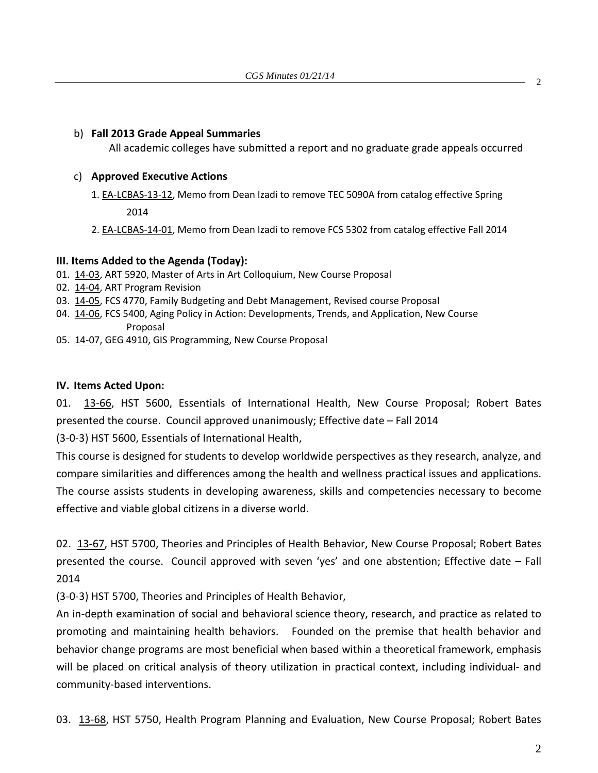### b) **Fall 2013 Grade Appeal Summaries**

All academic colleges have submitted a report and no graduate grade appeals occurred

## c) **Approved Executive Actions**

- 1[. EA-LCBAS-13-12,](http://castle.eiu.edu/~eiucgs/exec-actions/EA-LCBAS-13-12.pdf) Memo from Dean Izadi to remove TEC 5090A from catalog effective Spring 2014
- 2[. EA-LCBAS-14-01,](http://castle.eiu.edu/~eiucgs/exec-actions/EA-LCBAS-14-01.pdf) Memo from Dean Izadi to remove FCS 5302 from catalog effective Fall 2014

## **III. Items Added to the Agenda (Today):**

- 01. [14-03,](http://castle.eiu.edu/~eiucgs/currentagendaitems/agenda14-03.pdf) ART 5920, Master of Arts in Art Colloquium, New Course Proposal
- 02. [14-04,](http://castle.eiu.edu/~eiucgs/currentagendaitems/agenda14-04.pdf) ART Program Revision
- 03. [14-05,](http://castle.eiu.edu/~eiucgs/currentagendaitems/agenda14-05.pdf) FCS 4770, Family Budgeting and Debt Management, Revised course Proposal
- 04. [14-06,](http://castle.eiu.edu/~eiucgs/currentagendaitems/agenda14-06.pdf) FCS 5400, Aging Policy in Action: Developments, Trends, and Application, New Course Proposal
- 05. [14-07,](http://castle.eiu.edu/~eiucgs/currentagendaitems/agenda14-07.pdf) GEG 4910, GIS Programming, New Course Proposal

# **IV. Items Acted Upon:**

01. [13-66,](http://castle.eiu.edu/~eiucgs/currentagendaitems/agenda13-66.pdf) HST 5600, Essentials of International Health, New Course Proposal; Robert Bates presented the course. Council approved unanimously; Effective date – Fall 2014

(3-0-3) HST 5600, Essentials of International Health,

This course is designed for students to develop worldwide perspectives as they research, analyze, and compare similarities and differences among the health and wellness practical issues and applications. The course assists students in developing awareness, skills and competencies necessary to become effective and viable global citizens in a diverse world.

02. [13-67,](http://castle.eiu.edu/~eiucgs/currentagendaitems/agenda13-67.pdf) HST 5700, Theories and Principles of Health Behavior, New Course Proposal; Robert Bates presented the course. Council approved with seven 'yes' and one abstention; Effective date – Fall 2014

(3-0-3) HST 5700, Theories and Principles of Health Behavior,

An in-depth examination of social and behavioral science theory, research, and practice as related to promoting and maintaining health behaviors. Founded on the premise that health behavior and behavior change programs are most beneficial when based within a theoretical framework, emphasis will be placed on critical analysis of theory utilization in practical context, including individual- and community-based interventions.

03. [13-68,](http://castle.eiu.edu/~eiucgs/currentagendaitems/agenda13-68.pdf) HST 5750, Health Program Planning and Evaluation, New Course Proposal; Robert Bates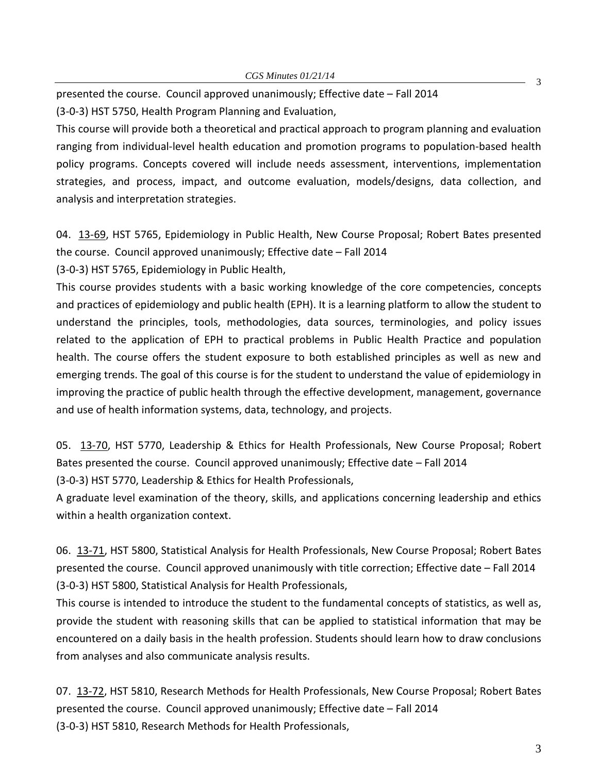presented the course. Council approved unanimously; Effective date – Fall 2014 (3-0-3) HST 5750, Health Program Planning and Evaluation,

This course will provide both a theoretical and practical approach to program planning and evaluation ranging from individual-level health education and promotion programs to population-based health policy programs. Concepts covered will include needs assessment, interventions, implementation strategies, and process, impact, and outcome evaluation, models/designs, data collection, and analysis and interpretation strategies.

04. [13-69,](http://castle.eiu.edu/~eiucgs/currentagendaitems/agenda13-69.pdf) HST 5765, Epidemiology in Public Health, New Course Proposal; Robert Bates presented the course. Council approved unanimously; Effective date – Fall 2014

(3-0-3) HST 5765, Epidemiology in Public Health,

This course provides students with a basic working knowledge of the core competencies, concepts and practices of epidemiology and public health (EPH). It is a learning platform to allow the student to understand the principles, tools, methodologies, data sources, terminologies, and policy issues related to the application of EPH to practical problems in Public Health Practice and population health. The course offers the student exposure to both established principles as well as new and emerging trends. The goal of this course is for the student to understand the value of epidemiology in improving the practice of public health through the effective development, management, governance and use of health information systems, data, technology, and projects.

05. [13-70,](http://castle.eiu.edu/~eiucgs/currentagendaitems/agenda13-70.pdf) HST 5770, Leadership & Ethics for Health Professionals, New Course Proposal; Robert Bates presented the course. Council approved unanimously; Effective date – Fall 2014 (3-0-3) HST 5770, Leadership & Ethics for Health Professionals,

A graduate level examination of the theory, skills, and applications concerning leadership and ethics within a health organization context.

06. [13-71,](http://castle.eiu.edu/~eiucgs/currentagendaitems/agenda13-71.pdf) HST 5800, Statistical Analysis for Health Professionals, New Course Proposal; Robert Bates presented the course. Council approved unanimously with title correction; Effective date – Fall 2014 (3-0-3) HST 5800, Statistical Analysis for Health Professionals,

This course is intended to introduce the student to the fundamental concepts of statistics, as well as, provide the student with reasoning skills that can be applied to statistical information that may be encountered on a daily basis in the health profession. Students should learn how to draw conclusions from analyses and also communicate analysis results.

07. [13-72,](http://castle.eiu.edu/~eiucgs/currentagendaitems/agenda13-72.pdf) HST 5810, Research Methods for Health Professionals, New Course Proposal; Robert Bates presented the course. Council approved unanimously; Effective date – Fall 2014 (3-0-3) HST 5810, Research Methods for Health Professionals,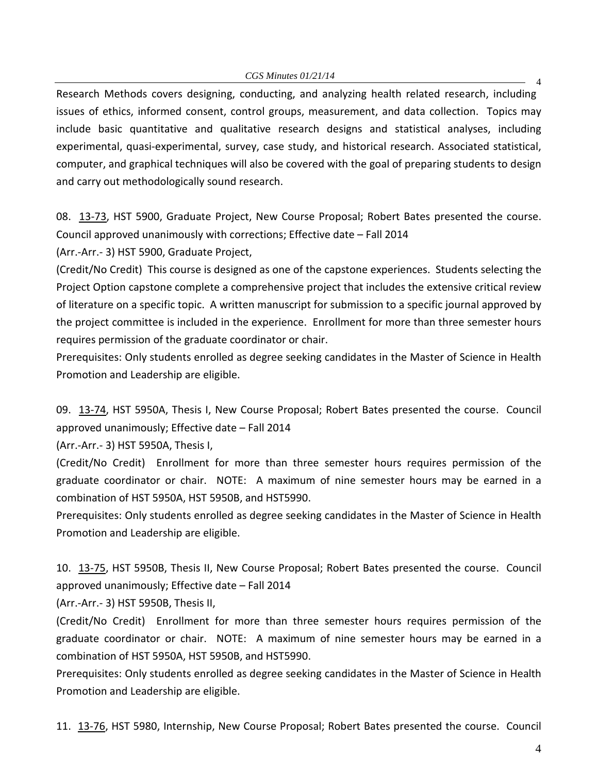4 Research Methods covers designing, conducting, and analyzing health related research, including issues of ethics, informed consent, control groups, measurement, and data collection. Topics may include basic quantitative and qualitative research designs and statistical analyses, including experimental, quasi-experimental, survey, case study, and historical research. Associated statistical, computer, and graphical techniques will also be covered with the goal of preparing students to design and carry out methodologically sound research.

08. [13-73,](http://castle.eiu.edu/~eiucgs/currentagendaitems/agenda13-73.pdf) HST 5900, Graduate Project, New Course Proposal; Robert Bates presented the course. Council approved unanimously with corrections; Effective date – Fall 2014

(Arr.-Arr.- 3) HST 5900, Graduate Project,

(Credit/No Credit) This course is designed as one of the capstone experiences. Students selecting the Project Option capstone complete a comprehensive project that includes the extensive critical review of literature on a specific topic. A written manuscript for submission to a specific journal approved by the project committee is included in the experience. Enrollment for more than three semester hours requires permission of the graduate coordinator or chair.

Prerequisites: Only students enrolled as degree seeking candidates in the Master of Science in Health Promotion and Leadership are eligible.

09. [13-74,](http://castle.eiu.edu/~eiucgs/currentagendaitems/agenda13-74.pdf) HST 5950A, Thesis I, New Course Proposal; Robert Bates presented the course. Council approved unanimously; Effective date – Fall 2014

(Arr.-Arr.- 3) HST 5950A, Thesis I,

(Credit/No Credit) Enrollment for more than three semester hours requires permission of the graduate coordinator or chair. NOTE: A maximum of nine semester hours may be earned in a combination of HST 5950A, HST 5950B, and HST5990.

Prerequisites: Only students enrolled as degree seeking candidates in the Master of Science in Health Promotion and Leadership are eligible.

10. [13-75,](http://castle.eiu.edu/~eiucgs/currentagendaitems/agenda13-75.pdf) HST 5950B, Thesis II, New Course Proposal; Robert Bates presented the course. Council approved unanimously; Effective date – Fall 2014

(Arr.-Arr.- 3) HST 5950B, Thesis II,

(Credit/No Credit) Enrollment for more than three semester hours requires permission of the graduate coordinator or chair. NOTE: A maximum of nine semester hours may be earned in a combination of HST 5950A, HST 5950B, and HST5990.

Prerequisites: Only students enrolled as degree seeking candidates in the Master of Science in Health Promotion and Leadership are eligible.

11. [13-76,](http://castle.eiu.edu/~eiucgs/currentagendaitems/agenda13-76.pdf) HST 5980, Internship, New Course Proposal; Robert Bates presented the course. Council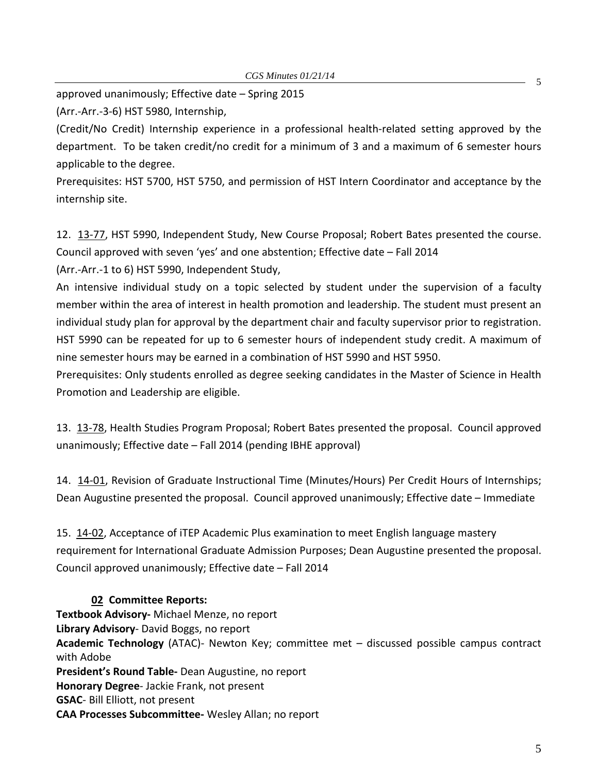approved unanimously; Effective date – Spring 2015

(Arr.-Arr.-3-6) HST 5980, Internship,

(Credit/No Credit) Internship experience in a professional health-related setting approved by the department. To be taken credit/no credit for a minimum of 3 and a maximum of 6 semester hours applicable to the degree.

Prerequisites: HST 5700, HST 5750, and permission of HST Intern Coordinator and acceptance by the internship site.

12. [13-77,](http://castle.eiu.edu/~eiucgs/currentagendaitems/agenda13-77.pdf) HST 5990, Independent Study, New Course Proposal; Robert Bates presented the course. Council approved with seven 'yes' and one abstention; Effective date – Fall 2014

(Arr.-Arr.-1 to 6) HST 5990, Independent Study,

An intensive individual study on a topic selected by student under the supervision of a faculty member within the area of interest in health promotion and leadership. The student must present an individual study plan for approval by the department chair and faculty supervisor prior to registration. HST 5990 can be repeated for up to 6 semester hours of independent study credit. A maximum of nine semester hours may be earned in a combination of HST 5990 and HST 5950.

Prerequisites: Only students enrolled as degree seeking candidates in the Master of Science in Health Promotion and Leadership are eligible.

13. [13-78,](http://castle.eiu.edu/~eiucgs/currentagendaitems/agenda13-78.pdf) Health Studies Program Proposal; Robert Bates presented the proposal. Council approved unanimously; Effective date – Fall 2014 (pending IBHE approval)

14. [14-01,](http://castle.eiu.edu/~eiucgs/currentagendaitems/agenda14-01.pdf) Revision of Graduate Instructional Time (Minutes/Hours) Per Credit Hours of Internships; Dean Augustine presented the proposal. Council approved unanimously; Effective date – Immediate

15. [14-02,](http://castle.eiu.edu/~eiucgs/currentagendaitems/agenda14-02.pdf) Acceptance of iTEP Academic Plus examination to meet English language mastery requirement for International Graduate Admission Purposes; Dean Augustine presented the proposal. Council approved unanimously; Effective date – Fall 2014

### **02 Committee Reports:**

**Textbook Advisory-** Michael Menze, no report **Library Advisory**- David Boggs, no report **Academic Technology** (ATAC)- Newton Key; committee met – discussed possible campus contract with Adobe **President's Round Table-** Dean Augustine, no report **Honorary Degree**- Jackie Frank, not present **GSAC**- Bill Elliott, not present **CAA Processes Subcommittee-** Wesley Allan; no report